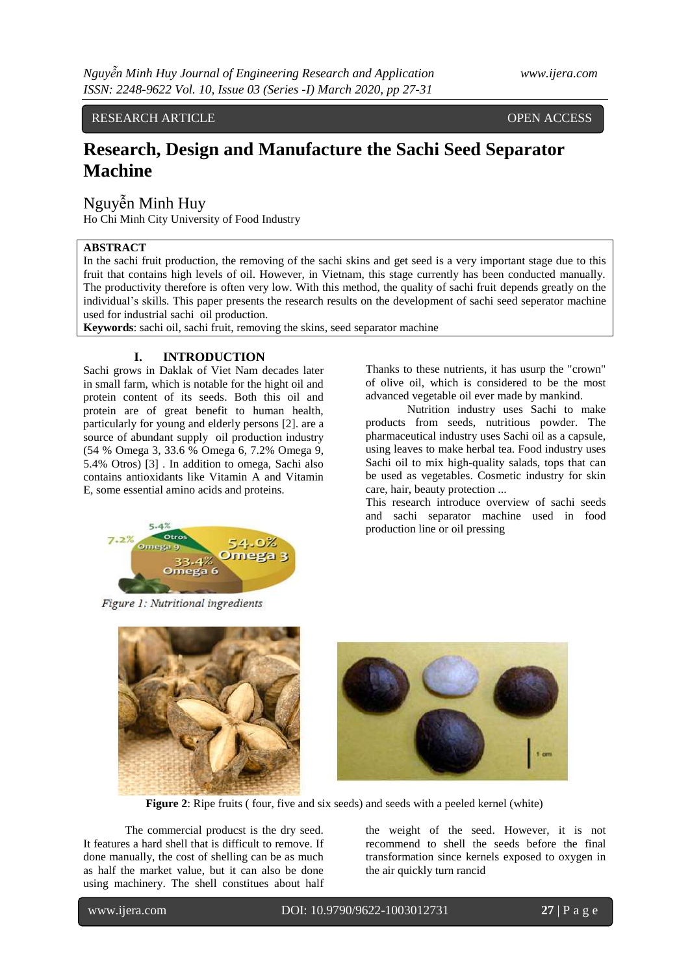RESEARCH ARTICLE **CONSERVERS** OPEN ACCESS

# **Research, Design and Manufacture the Sachi Seed Separator Machine**

### Nguyễn Minh Huy

Ho Chi Minh City University of Food Industry

### **ABSTRACT**

In the sachi fruit production, the removing of the sachi skins and get seed is a very important stage due to this fruit that contains high levels of oil. However, in Vietnam, this stage currently has been conducted manually. The productivity therefore is often very low. With this method, the quality of sachi fruit depends greatly on the individual's skills. This paper presents the research results on the development of sachi seed seperator machine used for industrial sachi oil production.

**Keywords**: sachi oil, sachi fruit, removing the skins, seed separator machine

#### **I. INTRODUCTION**

Sachi grows in Daklak of Viet Nam decades later in small farm, which is notable for the hight oil and protein content of its seeds. Both this oil and protein are of great benefit to human health, particularly for young and elderly persons [2]. are a source of abundant supply oil production industry (54 % Omega 3, 33.6 % Omega 6, 7.2% Omega 9, 5.4% Otros) [3] . In addition to omega, Sachi also contains antioxidants like Vitamin A and Vitamin E, some essential amino acids and proteins.



Figure 1: Nutritional ingredients

Thanks to these nutrients, it has usurp the "crown" of olive oil, which is considered to be the most advanced vegetable oil ever made by mankind.

Nutrition industry uses Sachi to make products from seeds, nutritious powder. The pharmaceutical industry uses Sachi oil as a capsule, using leaves to make herbal tea. Food industry uses Sachi oil to mix high-quality salads, tops that can be used as vegetables. Cosmetic industry for skin care, hair, beauty protection ...

This research introduce overview of sachi seeds and sachi separator machine used in food production line or oil pressing



**Figure 2**: Ripe fruits ( four, five and six seeds) and seeds with a peeled kernel (white)

The commercial producst is the dry seed. It features a hard shell that is difficult to remove. If done manually, the cost of shelling can be as much as half the market value, but it can also be done using machinery. The shell constitues about half the weight of the seed. However, it is not recommend to shell the seeds before the final transformation since kernels exposed to oxygen in the air quickly turn rancid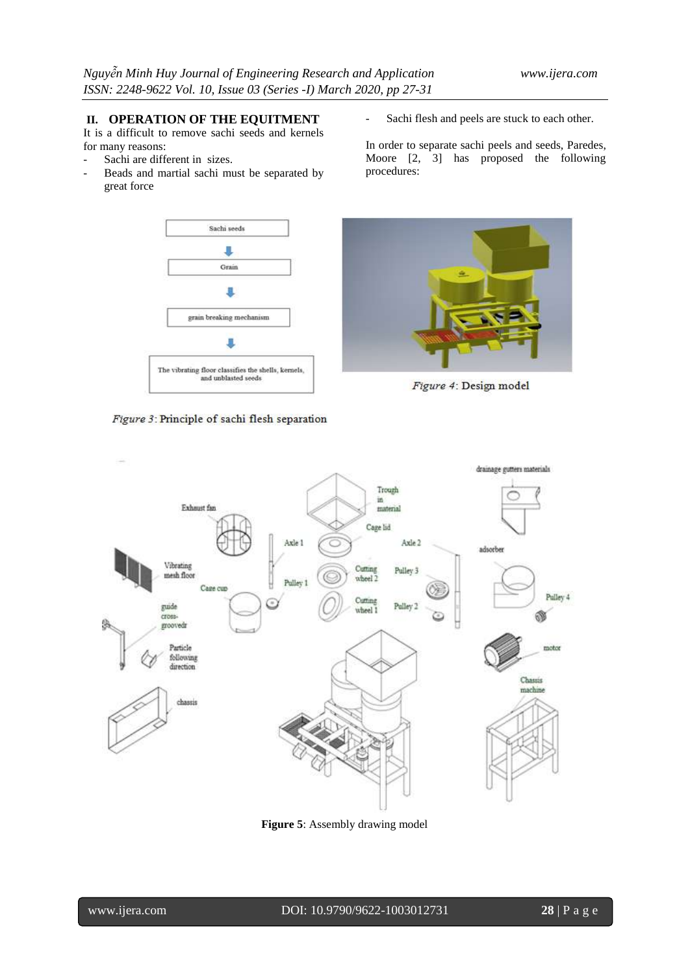### **II. OPERATION OF THE EQUITMENT**

It is a difficult to remove sachi seeds and kernels for many reasons:

- Sachi are different in sizes.
- Beads and martial sachi must be separated by great force





Sachi flesh and peels are stuck to each other.

In order to separate sachi peels and seeds, Paredes, Moore [2, 3] has proposed the following procedures:



Figure 4: Design model



**Figure 5**: Assembly drawing model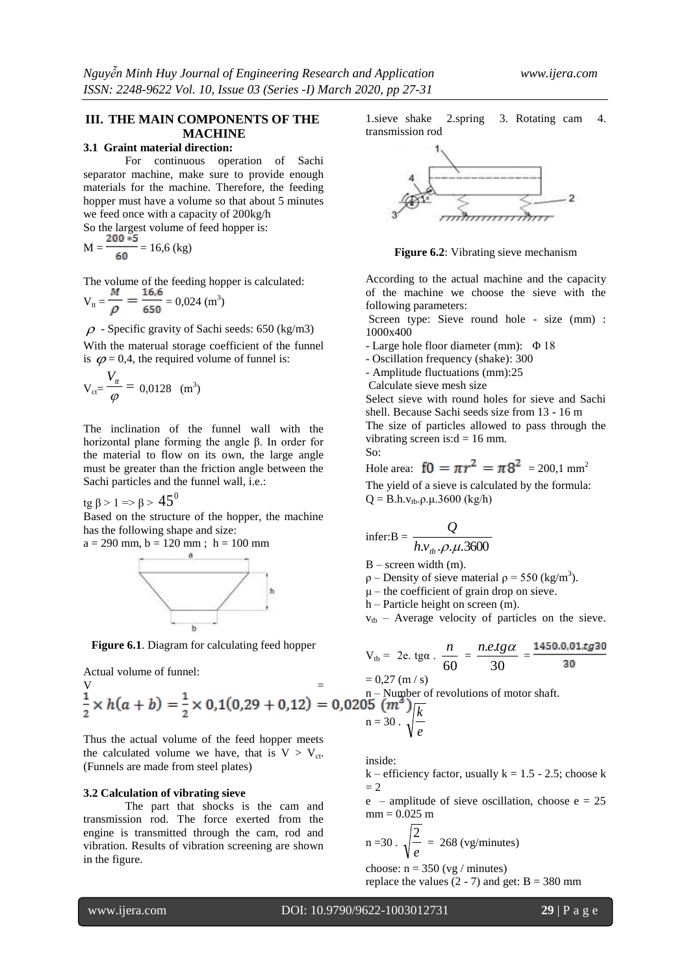## **III. THE MAIN COMPONENTS OF THE MACHINE**

### **3.1 Graint material direction:**

For continuous operation of Sachi separator machine, make sure to provide enough materials for the machine. Therefore, the feeding hopper must have a volume so that about 5 minutes we feed once with a capacity of 200kg/h

So the largest volume of feed hopper is:  $M = \frac{16,6 \text{ (kg)}}{150} = 16,6 \text{ (kg)}$ 

The volume of the feeding hopper is calculated:  $V_{tt} = \frac{1}{\sqrt{2}} = \frac{20.024}{65.0} = 0.024$  (m<sup>3</sup>)

$$
\rho = 650
$$
 650  
 
$$
\rho = \text{Specific gravity of Sachi seeds: } 650 \text{ (kg/m3)}
$$

With the materual storage coefficient of the funnel is  $\varphi = 0.4$ , the required volume of funnel is:

$$
V_{\rm ct} = \frac{V_{\rm tr}}{\varphi} = 0.0128 \, \text{ (m}^3)
$$

The inclination of the funnel wall with the horizontal plane forming the angle β. In order for the material to flow on its own, the large angle must be greater than the friction angle between the Sachi particles and the funnel wall, i.e.:

tg β > 1 => β >  $45^0$ 

Based on the structure of the hopper, the machine has the following shape and size:

$$
a = 290
$$
 mm,  $b = 120$  mm ;  $h = 100$  mm



**Figure 6.1**. Diagram for calculating feed hopper

Actual volume of funnel:  
\n
$$
= 60
$$
\n
$$
= 60
$$
\n
$$
= 60
$$
\n
$$
= 60
$$
\n
$$
= 60
$$
\n
$$
= 60
$$
\n
$$
= 60
$$
\n
$$
= 60
$$
\n
$$
= 60
$$
\n
$$
= 30
$$
\n
$$
= 30
$$
\n
$$
= 30
$$

Thus the actual volume of the feed hopper meets the calculated volume we have, that is  $V > V_{ct}$ . (Funnels are made from steel plates)

### **3.2 Calculation of vibrating sieve**

The part that shocks is the cam and transmission rod. The force exerted from the engine is transmitted through the cam, rod and vibration. Results of vibration screening are shown in the figure.

1.sieve shake 2.spring 3. Rotating cam 4. transmission rod



**Figure 6.2**: Vibrating sieve mechanism

According to the actual machine and the capacity of the machine we choose the sieve with the following parameters:

Screen type: Sieve round hole - size (mm) : 1000x400

- Large hole floor diameter (mm): Φ 18

- Oscillation frequency (shake): 300

- Amplitude fluctuations (mm):25

Calculate sieve mesh size

Select sieve with round holes for sieve and Sachi shell. Because Sachi seeds size from 13 - 16 m The size of particles allowed to pass through the vibrating screen is: $d = 16$  mm. So:

Hole area:  $f0 = \pi r^2 = \pi 8^2 = 200.1$  mm<sup>2</sup> The yield of a sieve is calculated by the formula:  $Q = B.h.v_{tb}.\rho.\mu.3600$  (kg/h)

$$
infer:B = \frac{Q}{h.v_{tb}.\rho.\mu.3600}
$$

 $B$  – screen width  $(m)$ .

 $\rho$  – Density of sieve material  $\rho$  = 550 (kg/m<sup>3</sup>).

 $\mu$  – the coefficient of grain drop on sieve.

h – Particle height on screen (m).

 $v_{tb}$  – Average velocity of particles on the sieve.

$$
V_{\text{tb}} = 2e. \text{ tga.} \cdot \frac{n}{60} = \frac{n.e. tg\alpha}{30} = \frac{1450.0,01.tg30}{30}
$$
  
= 0.27 (m/s)

notor shaft.

$$
n=30\cdot\sqrt{\frac{c}{e}}
$$

inside:

 $k$  – efficiency factor, usually  $k = 1.5 - 2.5$ ; choose k  $= 2$ 

 $e$  – amplitude of sieve oscillation, choose  $e = 25$  $mm = 0.025 m$ 

$$
n = 30 \cdot \sqrt{\frac{2}{e}} = 268 \text{ (vg/minutes)}
$$

choose:  $n = 350$  (vg / minutes)

replace the values  $(2 - 7)$  and get:  $B = 380$  mm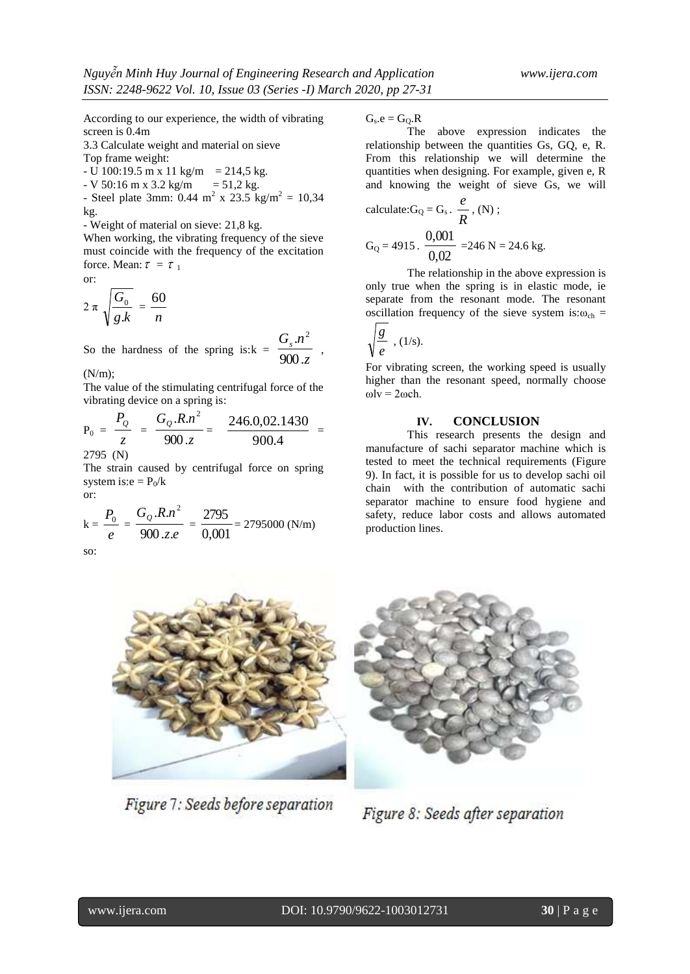According to our experience, the width of vibrating screen is 0.4m

3.3 Calculate weight and material on sieve

Top frame weight:

 $-$  U 100:19.5 m x 11 kg/m = 214,5 kg.

 $-V$  50:16 m x 3.2 kg/m = 51.2 kg. - Steel plate 3mm:  $0.44 \text{ m}^2 \times 23.5 \text{ kg/m}^2 = 10,34$ kg.

- Weight of material on sieve: 21,8 kg.

When working, the vibrating frequency of the sieve must coincide with the frequency of the excitation force. Mean:  $\tau = \tau_1$ 

or:

$$
2\pi\sqrt{\frac{G_0}{g.k}}=\frac{60}{n}
$$

So the hardness of the spring is: $k = \frac{3}{900 \text{ m/s}}$ *Gs n* 900.  $\left\lfloor n^2\right\rfloor$ ,

(N/m);

The value of the stimulating centrifugal force of the vibrating device on a spring is:

$$
P_0 = \frac{P_Q}{z} = \frac{G_Q.R.n^2}{900.z} = \frac{246.0,02.1430}{900.4} =
$$

2795 (N)

The strain caused by centrifugal force on spring system is: $e = P_0/k$ or:

$$
k = \frac{P_0}{e} = \frac{G_Q.R.n^2}{900.z.e} = \frac{2795}{0,001} = 2795000 (N/m)
$$

so:

 $G_s.e = G_Q.R$ 

The above expression indicates the relationship between the quantities Gs, GQ, e, R. From this relationship we will determine the quantities when designing. For example, given e, R and knowing the weight of sieve Gs, we will

calculate: 
$$
G_Q = G_s
$$
.  $\frac{e}{R}$ , (N);  
\n $G_Q = 4915$ .  $\frac{0,001}{0,02} = 246$  N = 24.6 kg.

The relationship in the above expression is only true when the spring is in elastic mode, ie separate from the resonant mode. The resonant oscillation frequency of the sieve system is: $\omega_{ch}$  =

$$
\sqrt{\frac{g}{e}} \cdot (1/\mathrm{s}).
$$

For vibrating screen, the working speed is usually higher than the resonant speed, normally choose  $ω$ lv =  $2ω$ ch.

#### **IV. CONCLUSION**

This research presents the design and manufacture of sachi separator machine which is tested to meet the technical requirements (Figure 9). In fact, it is possible for us to develop sachi oil chain with the contribution of automatic sachi separator machine to ensure food hygiene and safety, reduce labor costs and allows automated production lines.



Figure 7: Seeds before separation



Figure 8: Seeds after separation